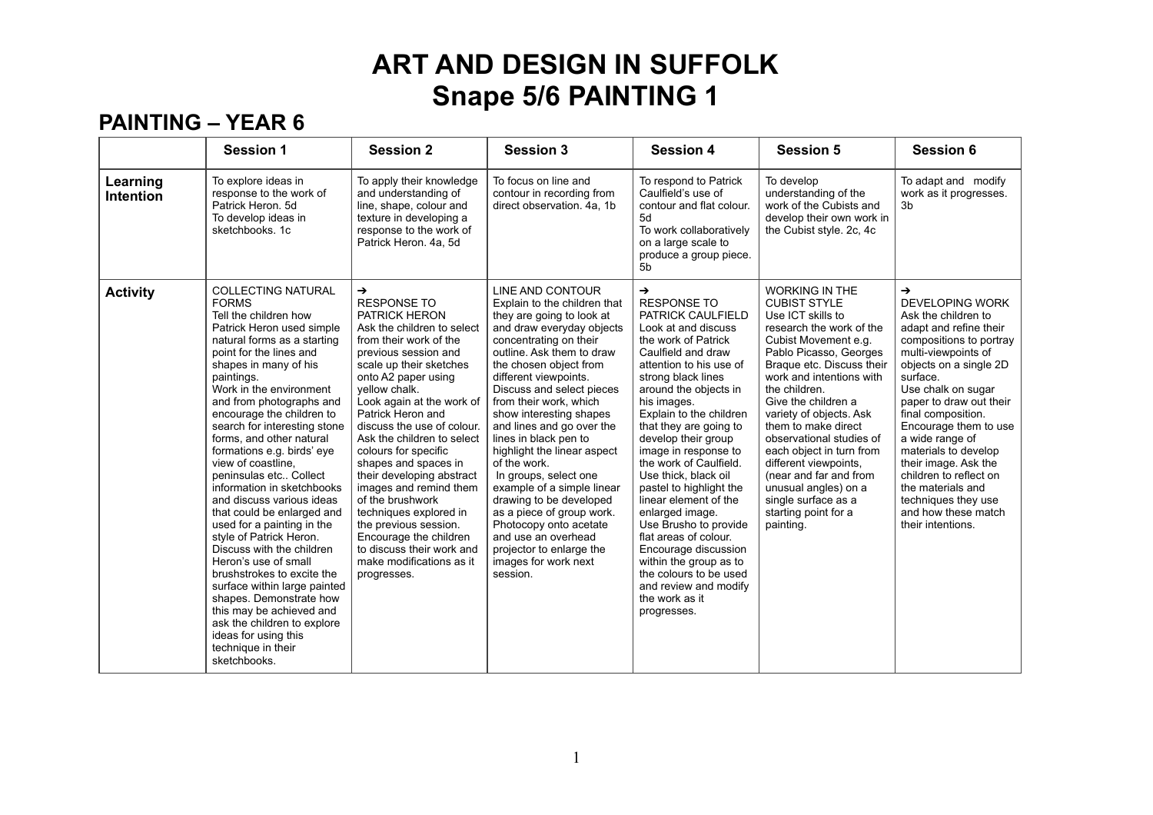#### **PAINTING – YEAR 6**

|                              | <b>Session 1</b>                                                                                                                                                                                                                                                                                                                                                                                                                                                                                                                                                                                                                                                                                                                                                                                                                                        | <b>Session 2</b>                                                                                                                                                                                                                                                                                                                                                                                                                                                                                                                                                                                             | <b>Session 3</b>                                                                                                                                                                                                                                                                                                                                                                                                                                                                                                                                                                                                                            | <b>Session 4</b>                                                                                                                                                                                                                                                                                                                                                                                                                                                                                                                                                                                                                           | <b>Session 5</b>                                                                                                                                                                                                                                                                                                                                                                                                                                                                                  | <b>Session 6</b>                                                                                                                                                                                                                                                                                                                                                                                                                                                      |
|------------------------------|---------------------------------------------------------------------------------------------------------------------------------------------------------------------------------------------------------------------------------------------------------------------------------------------------------------------------------------------------------------------------------------------------------------------------------------------------------------------------------------------------------------------------------------------------------------------------------------------------------------------------------------------------------------------------------------------------------------------------------------------------------------------------------------------------------------------------------------------------------|--------------------------------------------------------------------------------------------------------------------------------------------------------------------------------------------------------------------------------------------------------------------------------------------------------------------------------------------------------------------------------------------------------------------------------------------------------------------------------------------------------------------------------------------------------------------------------------------------------------|---------------------------------------------------------------------------------------------------------------------------------------------------------------------------------------------------------------------------------------------------------------------------------------------------------------------------------------------------------------------------------------------------------------------------------------------------------------------------------------------------------------------------------------------------------------------------------------------------------------------------------------------|--------------------------------------------------------------------------------------------------------------------------------------------------------------------------------------------------------------------------------------------------------------------------------------------------------------------------------------------------------------------------------------------------------------------------------------------------------------------------------------------------------------------------------------------------------------------------------------------------------------------------------------------|---------------------------------------------------------------------------------------------------------------------------------------------------------------------------------------------------------------------------------------------------------------------------------------------------------------------------------------------------------------------------------------------------------------------------------------------------------------------------------------------------|-----------------------------------------------------------------------------------------------------------------------------------------------------------------------------------------------------------------------------------------------------------------------------------------------------------------------------------------------------------------------------------------------------------------------------------------------------------------------|
| Learning<br><b>Intention</b> | To explore ideas in<br>response to the work of<br>Patrick Heron, 5d<br>To develop ideas in<br>sketchbooks, 1c                                                                                                                                                                                                                                                                                                                                                                                                                                                                                                                                                                                                                                                                                                                                           | To apply their knowledge<br>and understanding of<br>line, shape, colour and<br>texture in developing a<br>response to the work of<br>Patrick Heron. 4a, 5d                                                                                                                                                                                                                                                                                                                                                                                                                                                   | To focus on line and<br>contour in recording from<br>direct observation. 4a, 1b                                                                                                                                                                                                                                                                                                                                                                                                                                                                                                                                                             | To respond to Patrick<br>Caulfield's use of<br>contour and flat colour.<br>5d<br>To work collaboratively<br>on a large scale to<br>produce a group piece.<br>5b                                                                                                                                                                                                                                                                                                                                                                                                                                                                            | To develop<br>understanding of the<br>work of the Cubists and<br>develop their own work in<br>the Cubist style. 2c, 4c                                                                                                                                                                                                                                                                                                                                                                            | To adapt and modify<br>work as it progresses.<br>3 <sub>b</sub>                                                                                                                                                                                                                                                                                                                                                                                                       |
| <b>Activity</b>              | <b>COLLECTING NATURAL</b><br><b>FORMS</b><br>Tell the children how<br>Patrick Heron used simple<br>natural forms as a starting<br>point for the lines and<br>shapes in many of his<br>paintings.<br>Work in the environment<br>and from photographs and<br>encourage the children to<br>search for interesting stone<br>forms, and other natural<br>formations e.g. birds' eye<br>view of coastline,<br>peninsulas etc Collect<br>information in sketchbooks<br>and discuss various ideas<br>that could be enlarged and<br>used for a painting in the<br>style of Patrick Heron.<br>Discuss with the children<br>Heron's use of small<br>brushstrokes to excite the<br>surface within large painted<br>shapes. Demonstrate how<br>this may be achieved and<br>ask the children to explore<br>ideas for using this<br>technique in their<br>sketchbooks. | $\rightarrow$<br><b>RESPONSE TO</b><br><b>PATRICK HERON</b><br>Ask the children to select<br>from their work of the<br>previous session and<br>scale up their sketches<br>onto A2 paper using<br>vellow chalk.<br>Look again at the work of<br>Patrick Heron and<br>discuss the use of colour.<br>Ask the children to select<br>colours for specific<br>shapes and spaces in<br>their developing abstract<br>images and remind them<br>of the brushwork<br>techniques explored in<br>the previous session.<br>Encourage the children<br>to discuss their work and<br>make modifications as it<br>progresses. | LINE AND CONTOUR<br>Explain to the children that<br>they are going to look at<br>and draw everyday objects<br>concentrating on their<br>outline. Ask them to draw<br>the chosen object from<br>different viewpoints.<br>Discuss and select pieces<br>from their work, which<br>show interesting shapes<br>and lines and go over the<br>lines in black pen to<br>highlight the linear aspect<br>of the work.<br>In groups, select one<br>example of a simple linear<br>drawing to be developed<br>as a piece of group work.<br>Photocopy onto acetate<br>and use an overhead<br>projector to enlarge the<br>images for work next<br>session. | $\rightarrow$<br><b>RESPONSE TO</b><br>PATRICK CAULFIELD<br>Look at and discuss<br>the work of Patrick<br>Caulfield and draw<br>attention to his use of<br>strong black lines<br>around the objects in<br>his images.<br>Explain to the children<br>that they are going to<br>develop their group<br>image in response to<br>the work of Caulfield.<br>Use thick, black oil<br>pastel to highlight the<br>linear element of the<br>enlarged image.<br>Use Brusho to provide<br>flat areas of colour.<br>Encourage discussion<br>within the group as to<br>the colours to be used<br>and review and modify<br>the work as it<br>progresses. | <b>WORKING IN THE</b><br><b>CUBIST STYLE</b><br>Use ICT skills to<br>research the work of the<br>Cubist Movement e.g.<br>Pablo Picasso, Georges<br>Braque etc. Discuss their<br>work and intentions with<br>the children.<br>Give the children a<br>variety of objects. Ask<br>them to make direct<br>observational studies of<br>each object in turn from<br>different viewpoints,<br>(near and far and from<br>unusual angles) on a<br>single surface as a<br>starting point for a<br>painting. | $\rightarrow$<br><b>DEVELOPING WORK</b><br>Ask the children to<br>adapt and refine their<br>compositions to portray<br>multi-viewpoints of<br>objects on a single 2D<br>surface.<br>Use chalk on sugar<br>paper to draw out their<br>final composition.<br>Encourage them to use<br>a wide range of<br>materials to develop<br>their image. Ask the<br>children to reflect on<br>the materials and<br>techniques they use<br>and how these match<br>their intentions. |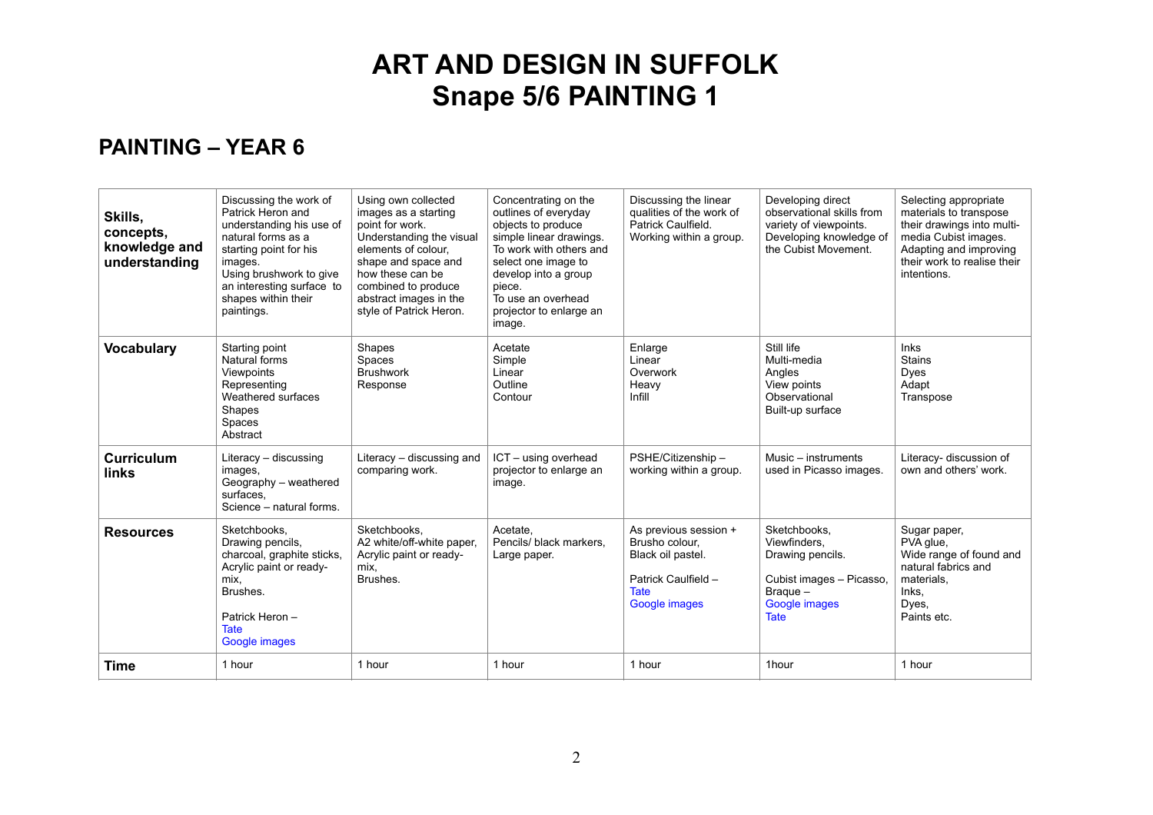#### **PAINTING – YEAR 6**

| Skills,<br>concepts,<br>knowledge and<br>understanding | Discussing the work of<br>Patrick Heron and<br>understanding his use of<br>natural forms as a<br>starting point for his<br>images.<br>Using brushwork to give<br>an interesting surface to<br>shapes within their<br>paintings. | Using own collected<br>images as a starting<br>point for work.<br>Understanding the visual<br>elements of colour.<br>shape and space and<br>how these can be<br>combined to produce<br>abstract images in the<br>style of Patrick Heron. | Concentrating on the<br>outlines of everyday<br>objects to produce<br>simple linear drawings.<br>To work with others and<br>select one image to<br>develop into a group<br>piece.<br>To use an overhead<br>projector to enlarge an<br>image. | Discussing the linear<br>qualities of the work of<br>Patrick Caulfield.<br>Working within a group.                  | Developing direct<br>observational skills from<br>variety of viewpoints.<br>Developing knowledge of<br>the Cubist Movement. | Selecting appropriate<br>materials to transpose<br>their drawings into multi-<br>media Cubist images.<br>Adapting and improving<br>their work to realise their<br>intentions. |
|--------------------------------------------------------|---------------------------------------------------------------------------------------------------------------------------------------------------------------------------------------------------------------------------------|------------------------------------------------------------------------------------------------------------------------------------------------------------------------------------------------------------------------------------------|----------------------------------------------------------------------------------------------------------------------------------------------------------------------------------------------------------------------------------------------|---------------------------------------------------------------------------------------------------------------------|-----------------------------------------------------------------------------------------------------------------------------|-------------------------------------------------------------------------------------------------------------------------------------------------------------------------------|
| <b>Vocabulary</b>                                      | Starting point<br>Natural forms<br>Viewpoints<br>Representing<br>Weathered surfaces<br>Shapes<br>Spaces<br>Abstract                                                                                                             | Shapes<br>Spaces<br><b>Brushwork</b><br>Response                                                                                                                                                                                         | Acetate<br>Simple<br>Linear<br>Outline<br>Contour                                                                                                                                                                                            | Enlarge<br>Linear<br>Overwork<br>Heavy<br>Infill                                                                    | Still life<br>Multi-media<br>Angles<br>View points<br>Observational<br>Built-up surface                                     | <b>Inks</b><br><b>Stains</b><br>Dyes<br>Adapt<br>Transpose                                                                                                                    |
| <b>Curriculum</b><br>links                             | Literacy - discussing<br>images,<br>Geography - weathered<br>surfaces.<br>Science - natural forms.                                                                                                                              | Literacy - discussing and<br>comparing work.                                                                                                                                                                                             | ICT - using overhead<br>projector to enlarge an<br>image.                                                                                                                                                                                    | PSHE/Citizenship -<br>working within a group.                                                                       | Music – instruments<br>used in Picasso images.                                                                              | Literacy- discussion of<br>own and others' work.                                                                                                                              |
| <b>Resources</b>                                       | Sketchbooks,<br>Drawing pencils,<br>charcoal, graphite sticks,<br>Acrylic paint or ready-<br>mix.<br>Brushes.<br>Patrick Heron-<br><b>Tate</b><br>Google images                                                                 | Sketchbooks,<br>A2 white/off-white paper,<br>Acrylic paint or ready-<br>mix.<br>Brushes.                                                                                                                                                 | Acetate,<br>Pencils/ black markers,<br>Large paper.                                                                                                                                                                                          | As previous session +<br>Brusho colour.<br>Black oil pastel.<br>Patrick Caulfield -<br><b>Tate</b><br>Google images | Sketchbooks,<br>Viewfinders,<br>Drawing pencils.<br>Cubist images - Picasso,<br>Brague -<br>Google images<br><b>Tate</b>    | Sugar paper,<br>PVA glue,<br>Wide range of found and<br>natural fabrics and<br>materials.<br>Inks.<br>Dyes,<br>Paints etc.                                                    |
| Time                                                   | 1 hour                                                                                                                                                                                                                          | 1 hour                                                                                                                                                                                                                                   | 1 hour                                                                                                                                                                                                                                       | 1 hour                                                                                                              | 1hour                                                                                                                       | 1 hour                                                                                                                                                                        |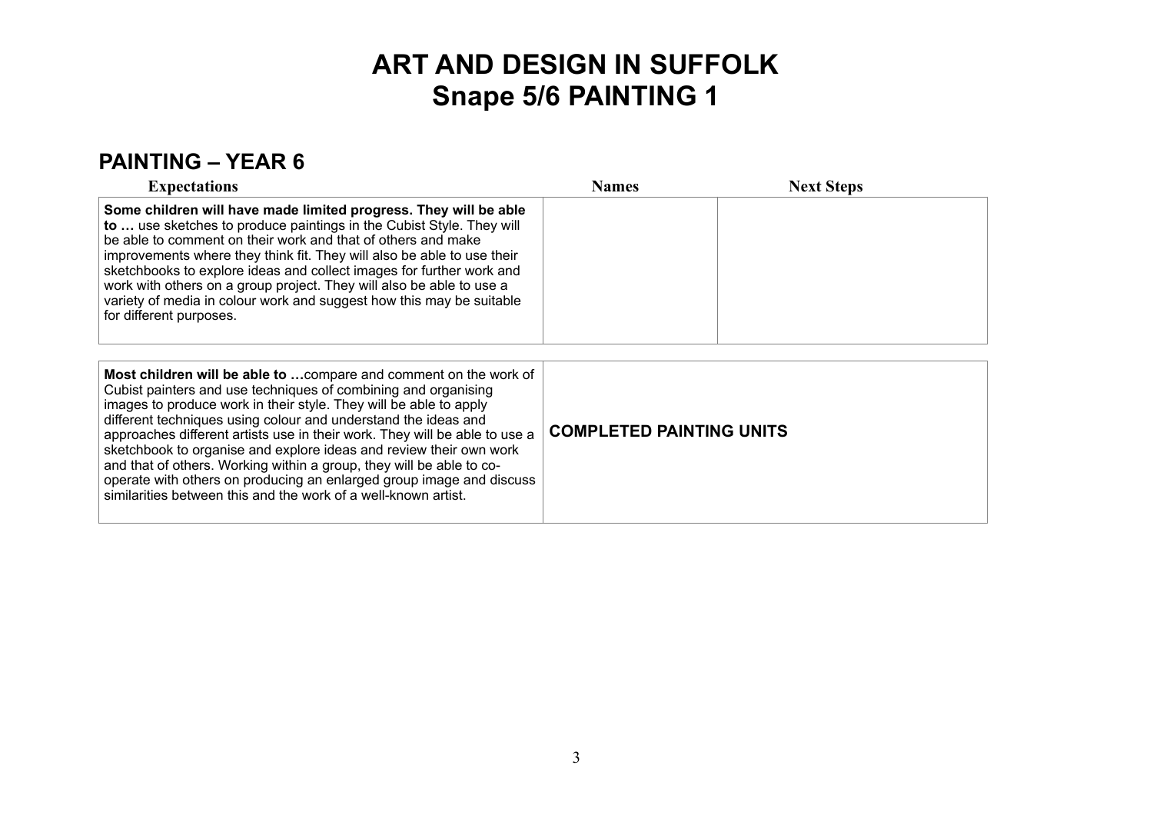### **PAINTING – YEAR 6**

| <b>Expectations</b>                                                                                                                                                                                                                                                                                                                                                                                                                                                                                                                                                                                                                              | <b>Names</b>                    | <b>Next Steps</b> |
|--------------------------------------------------------------------------------------------------------------------------------------------------------------------------------------------------------------------------------------------------------------------------------------------------------------------------------------------------------------------------------------------------------------------------------------------------------------------------------------------------------------------------------------------------------------------------------------------------------------------------------------------------|---------------------------------|-------------------|
| Some children will have made limited progress. They will be able<br>to  use sketches to produce paintings in the Cubist Style. They will<br>be able to comment on their work and that of others and make<br>improvements where they think fit. They will also be able to use their<br>sketchbooks to explore ideas and collect images for further work and<br>work with others on a group project. They will also be able to use a<br>variety of media in colour work and suggest how this may be suitable<br>for different purposes.                                                                                                            |                                 |                   |
| Most children will be able to  compare and comment on the work of<br>Cubist painters and use techniques of combining and organising<br>images to produce work in their style. They will be able to apply<br>different techniques using colour and understand the ideas and<br>approaches different artists use in their work. They will be able to use a<br>sketchbook to organise and explore ideas and review their own work<br>and that of others. Working within a group, they will be able to co-<br>operate with others on producing an enlarged group image and discuss<br>similarities between this and the work of a well-known artist. | <b>COMPLETED PAINTING UNITS</b> |                   |